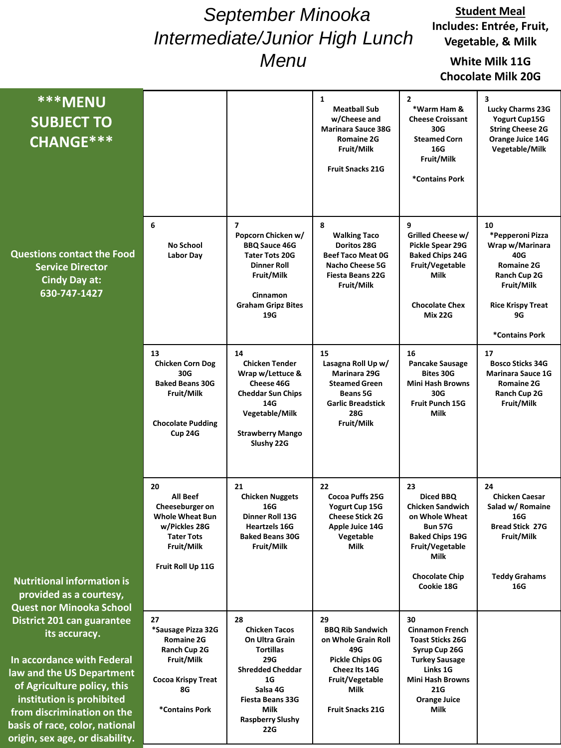# *September Minooka Intermediate/Junior High Lunch Menu*

#### **Student Meal Includes: Entrée, Fruit, Vegetable, & Milk**

## **White Milk 11G Chocolate Milk 20G**

| <b>***MENU</b><br><b>SUBJECT TO</b><br>CHANGE***                                                                                                                                                                                                                                                                                    |                                                                                                                                      |                                                                                                                                                                                                  | 1<br><b>Meatball Sub</b><br>w/Cheese and<br><b>Marinara Sauce 38G</b><br><b>Romaine 2G</b><br>Fruit/Milk<br><b>Fruit Snacks 21G</b>                   | $\overline{2}$<br>*Warm Ham &<br><b>Cheese Croissant</b><br>30G<br><b>Steamed Corn</b><br>16G<br>Fruit/Milk<br>*Contains Pork                                                         | 3<br><b>Lucky Charms 23G</b><br><b>Yogurt Cup15G</b><br><b>String Cheese 2G</b><br>Orange Juice 14G<br>Vegetable/Milk                                   |
|-------------------------------------------------------------------------------------------------------------------------------------------------------------------------------------------------------------------------------------------------------------------------------------------------------------------------------------|--------------------------------------------------------------------------------------------------------------------------------------|--------------------------------------------------------------------------------------------------------------------------------------------------------------------------------------------------|-------------------------------------------------------------------------------------------------------------------------------------------------------|---------------------------------------------------------------------------------------------------------------------------------------------------------------------------------------|---------------------------------------------------------------------------------------------------------------------------------------------------------|
| <b>Questions contact the Food</b><br><b>Service Director</b><br><b>Cindy Day at:</b><br>630-747-1427                                                                                                                                                                                                                                | 6<br><b>No School</b><br>Labor Day                                                                                                   | $\overline{7}$<br>Popcorn Chicken w/<br><b>BBQ Sauce 46G</b><br><b>Tater Tots 20G</b><br>Dinner Roll<br>Fruit/Milk<br>Cinnamon<br><b>Graham Gripz Bites</b><br>19G                               | 8<br><b>Walking Taco</b><br>Doritos 28G<br><b>Beef Taco Meat 0G</b><br><b>Nacho Cheese 5G</b><br><b>Fiesta Beans 22G</b><br>Fruit/Milk                | 9<br>Grilled Cheese w/<br>Pickle Spear 29G<br><b>Baked Chips 24G</b><br>Fruit/Vegetable<br>Milk<br><b>Chocolate Chex</b><br><b>Mix 22G</b>                                            | 10<br>*Pepperoni Pizza<br>Wrap w/Marinara<br>40G<br><b>Romaine 2G</b><br>Ranch Cup 2G<br>Fruit/Milk<br><b>Rice Krispy Treat</b><br>9G<br>*Contains Pork |
|                                                                                                                                                                                                                                                                                                                                     | 13<br><b>Chicken Corn Dog</b><br>30G<br><b>Baked Beans 30G</b><br>Fruit/Milk<br><b>Chocolate Pudding</b><br>Cup 24G                  | 14<br><b>Chicken Tender</b><br>Wrap w/Lettuce &<br>Cheese 46G<br><b>Cheddar Sun Chips</b><br>14G<br>Vegetable/Milk<br><b>Strawberry Mango</b><br>Slushy 22G                                      | 15<br>Lasagna Roll Up w/<br>Marinara 29G<br><b>Steamed Green</b><br><b>Beans 5G</b><br><b>Garlic Breadstick</b><br>28G<br>Fruit/Milk                  | 16<br>Pancake Sausage<br><b>Bites 30G</b><br><b>Mini Hash Browns</b><br>30G<br><b>Fruit Punch 15G</b><br><b>Milk</b>                                                                  | 17<br><b>Bosco Sticks 34G</b><br><b>Marinara Sauce 1G</b><br><b>Romaine 2G</b><br>Ranch Cup 2G<br>Fruit/Milk                                            |
| <b>Nutritional information is</b>                                                                                                                                                                                                                                                                                                   | 20<br>All Beef<br>Cheeseburger on<br><b>Whole Wheat Bun</b><br>w/Pickles 28G<br><b>Tater Tots</b><br>Fruit/Milk<br>Fruit Roll Up 11G | 21<br><b>Chicken Nuggets</b><br>16G<br>Dinner Roll 13G<br><b>Heartzels 16G</b><br><b>Baked Beans 30G</b><br>Fruit/Milk                                                                           | 22<br>Cocoa Puffs 25G<br>Yogurt Cup 15G<br><b>Cheese Stick 2G</b><br>Apple Juice 14G<br>Vegetable<br>Milk                                             | 23<br>Diced BBQ<br><b>Chicken Sandwich</b><br>on Whole Wheat<br><b>Bun 57G</b><br><b>Baked Chips 19G</b><br>Fruit/Vegetable<br>Milk<br><b>Chocolate Chip</b><br>Cookie 18G            | 24<br><b>Chicken Caesar</b><br>Salad w/ Romaine<br>16G<br>Bread Stick 27G<br>Fruit/Milk<br><b>Teddy Grahams</b><br>16G                                  |
| provided as a courtesy,<br><b>Quest nor Minooka School</b><br>District 201 can guarantee<br>its accuracy.<br>In accordance with Federal<br>law and the US Department<br>of Agriculture policy, this<br>institution is prohibited<br>from discrimination on the<br>basis of race, color, national<br>origin, sex age, or disability. | 27<br>*Sausage Pizza 32G<br>Romaine 2G<br>Ranch Cup 2G<br>Fruit/Milk<br><b>Cocoa Krispy Treat</b><br>8G<br>*Contains Pork            | 28<br><b>Chicken Tacos</b><br>On Ultra Grain<br><b>Tortillas</b><br>29G<br><b>Shredded Cheddar</b><br>1G<br>Salsa 4G<br><b>Fiesta Beans 33G</b><br>Milk<br><b>Raspberry Slushy</b><br><b>22G</b> | 29<br><b>BBQ Rib Sandwich</b><br>on Whole Grain Roll<br>49G<br>Pickle Chips 0G<br>Cheez Its 14G<br>Fruit/Vegetable<br>Milk<br><b>Fruit Snacks 21G</b> | 30<br><b>Cinnamon French</b><br><b>Toast Sticks 26G</b><br>Syrup Cup 26G<br><b>Turkey Sausage</b><br>Links 1G<br><b>Mini Hash Browns</b><br><b>21G</b><br><b>Orange Juice</b><br>Milk |                                                                                                                                                         |